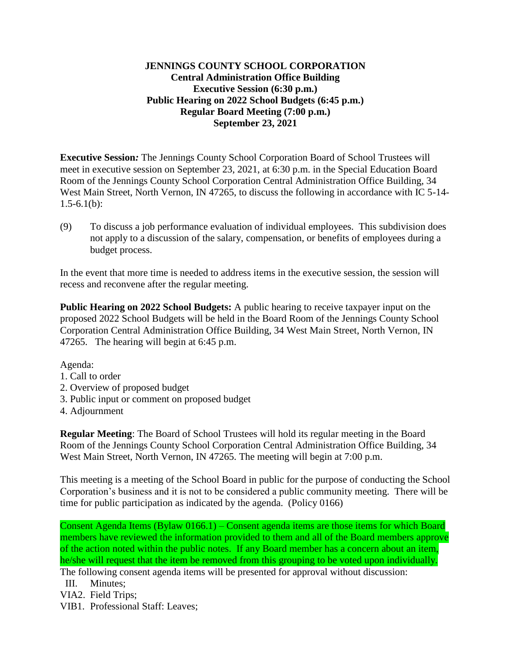## **JENNINGS COUNTY SCHOOL CORPORATION Central Administration Office Building Executive Session (6:30 p.m.) Public Hearing on 2022 School Budgets (6:45 p.m.) Regular Board Meeting (7:00 p.m.) September 23, 2021**

**Executive Session***:* The Jennings County School Corporation Board of School Trustees will meet in executive session on September 23, 2021, at 6:30 p.m. in the Special Education Board Room of the Jennings County School Corporation Central Administration Office Building, 34 West Main Street, North Vernon, IN 47265, to discuss the following in accordance with IC 5-14-  $1.5-6.1(b)$ :

(9) To discuss a job performance evaluation of individual employees. This subdivision does not apply to a discussion of the salary, compensation, or benefits of employees during a budget process.

In the event that more time is needed to address items in the executive session, the session will recess and reconvene after the regular meeting.

**Public Hearing on 2022 School Budgets:** A public hearing to receive taxpayer input on the proposed 2022 School Budgets will be held in the Board Room of the Jennings County School Corporation Central Administration Office Building, 34 West Main Street, North Vernon, IN 47265. The hearing will begin at 6:45 p.m.

Agenda:

- 1. Call to order
- 2. Overview of proposed budget
- 3. Public input or comment on proposed budget
- 4. Adjournment

**Regular Meeting**: The Board of School Trustees will hold its regular meeting in the Board Room of the Jennings County School Corporation Central Administration Office Building, 34 West Main Street, North Vernon, IN 47265. The meeting will begin at 7:00 p.m.

This meeting is a meeting of the School Board in public for the purpose of conducting the School Corporation's business and it is not to be considered a public community meeting. There will be time for public participation as indicated by the agenda. (Policy 0166)

Consent Agenda Items (Bylaw 0166.1) – Consent agenda items are those items for which Board members have reviewed the information provided to them and all of the Board members approve of the action noted within the public notes. If any Board member has a concern about an item, he/she will request that the item be removed from this grouping to be voted upon individually. The following consent agenda items will be presented for approval without discussion:

III. Minutes;

VIA2. Field Trips;

VIB1. Professional Staff: Leaves;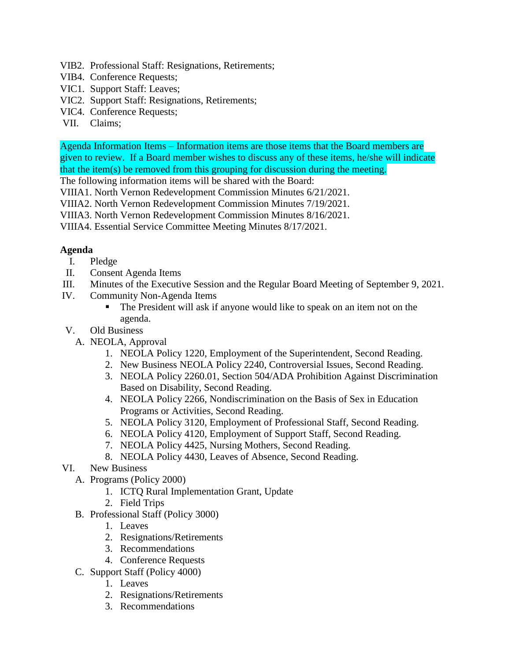- VIB2. Professional Staff: Resignations, Retirements;
- VIB4. Conference Requests;
- VIC1. Support Staff: Leaves;
- VIC2. Support Staff: Resignations, Retirements;
- VIC4. Conference Requests;
- VII. Claims;

Agenda Information Items – Information items are those items that the Board members are given to review. If a Board member wishes to discuss any of these items, he/she will indicate that the item(s) be removed from this grouping for discussion during the meeting.

The following information items will be shared with the Board:

VIIIA1. North Vernon Redevelopment Commission Minutes 6/21/2021.

- VIIIA2. North Vernon Redevelopment Commission Minutes 7/19/2021.
- VIIIA3. North Vernon Redevelopment Commission Minutes 8/16/2021.

VIIIA4. Essential Service Committee Meeting Minutes 8/17/2021.

## **Agenda**

- I. Pledge
- II. Consent Agenda Items
- III. Minutes of the Executive Session and the Regular Board Meeting of September 9, 2021.
- IV. Community Non-Agenda Items
	- The President will ask if anyone would like to speak on an item not on the agenda.
- V. Old Business
	- A. NEOLA, Approval
		- 1. NEOLA Policy 1220, Employment of the Superintendent, Second Reading.
		- 2. New Business NEOLA Policy 2240, Controversial Issues, Second Reading.
		- 3. NEOLA Policy 2260.01, Section 504/ADA Prohibition Against Discrimination Based on Disability, Second Reading.
		- 4. NEOLA Policy 2266, Nondiscrimination on the Basis of Sex in Education Programs or Activities, Second Reading.
		- 5. NEOLA Policy 3120, Employment of Professional Staff, Second Reading.
		- 6. NEOLA Policy 4120, Employment of Support Staff, Second Reading.
		- 7. NEOLA Policy 4425, Nursing Mothers, Second Reading.
		- 8. NEOLA Policy 4430, Leaves of Absence, Second Reading.
- VI. New Business
	- A. Programs (Policy 2000)
		- 1. ICTQ Rural Implementation Grant, Update
		- 2. Field Trips
	- B. Professional Staff (Policy 3000)
		- 1. Leaves
		- 2. Resignations/Retirements
		- 3. Recommendations
		- 4. Conference Requests
	- C. Support Staff (Policy 4000)
		- 1. Leaves
		- 2. Resignations/Retirements
		- 3. Recommendations